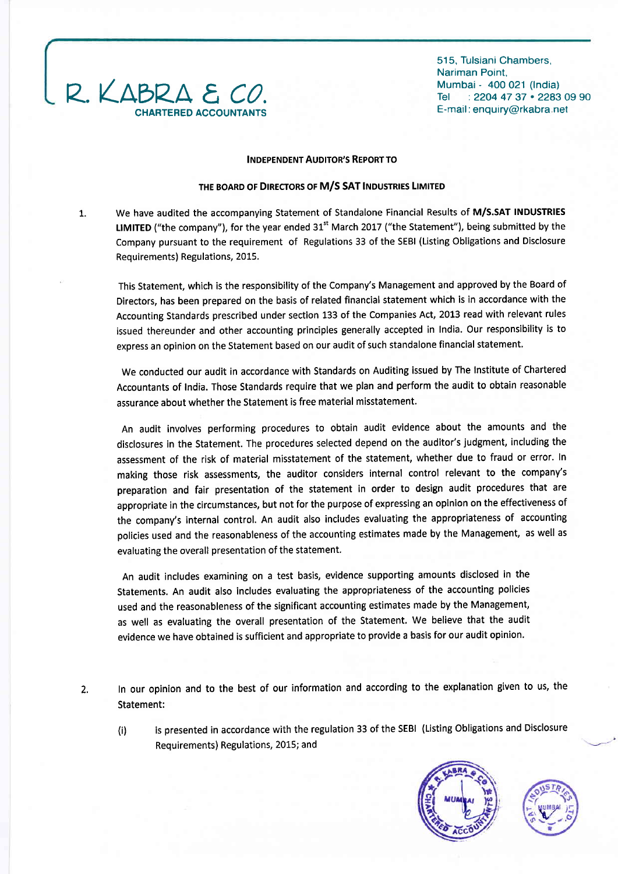

515, Tulsiani Chambers, Nariman Point, Mumbai - 400 021 (lndia) Tel : 2204 47 37 . 2283 09 90 E-mail : enquiry@rkabra net

### **INDEPENDENT AUDITOR'S REPORT TO**

### THE BOARD OF DIRECTORS OF M/S SAT INDUSTRIES LIMITED

We have audited the accompanying Statement of Standalone Financial Results of M/S.SAT INDUSTRIES tlMfTED ("the company"), for the year ended 31" March 2017 ("the Statement"), being submitted by the Company pursuant to the requirement of Regulations 33 of the SEBI (Listing Obligations and Disclosure Requirements) Regulations, 2015. 1.

This Statement, which is the responsibility of the Company's Management and approved by the Board of Directors, has been prepared on the basis of related financial statement which is in accordance with the Accounting Standards prescribed under section 133 of the Companies Act, 2013 read with relevant rules issued thereunder and other accounting principles generally accepted in India. Our responsibility is to express an opinion on the Statement based on our audit of such standalone financial statement.

We conducted our audit in accordance with Standards on Auditing issued by The Institute of Chartered Accountants of India. Those Standards require that we plan and perform the audit to obtain reasonable assurance about whether the Statement is free material misstatement.

An audit involves performing procedures to obtain audit evidence about the amounts and the disclosures in the Statement. The procedures selected depend on the auditor's judgment, including the assessment of the risk of material misstatement of the statement, whether due to fraud or error. In making those risk assessments, the auditor considers internal control relevant to the company's preparation and fair presentation of the statement in order to design audit procedures that are appropriate in the circumstances, but not for the purpose of expressing an opinion on the effectiveness of the company's internal control. An audit also includes evaluating the appropriateness of accounting policies used and the reasonableness of the accounting estimates made by the Management, as well as evaluating the overall presentation of the statement.

An audit includes examining on a test basis, evidence supporting amounts disclosed in the Statements. An audit also includes evaluating the appropriateness of the accounting policies used and the reasonableness of the significant accounting estimates made by the Management, as well as evaluating the overall presentation of the Statement, We believe that the audit evidence we have obtained is sufficient and appropriate to provide a basis for our audit opinion.

- 2. In our opinion and to the best of our information and according to the explanation given to us, the Statement:
	- (i) is presented in accordance with the regulation 33 of the sEBl (Listing obligations and Disclosure Requirements) Regulations, 2015; and



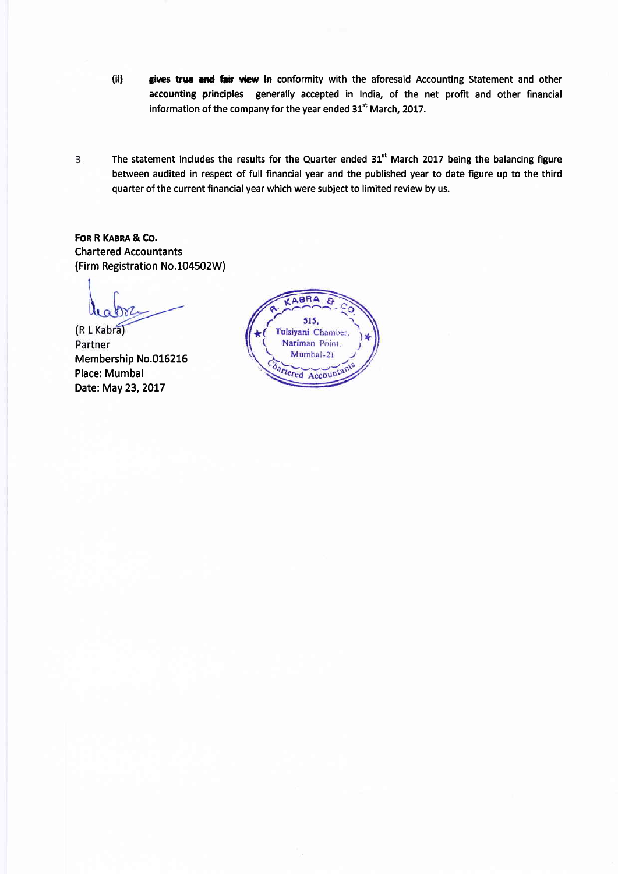- (ii) gives true and fair view in conformity with the aforesaid Accounting Statement and other accounting principles generally accepted in India, of the net profit and other financial information of the company for the year ended 31<sup>st</sup> March, 2017.
- The statement includes the results for the Quarter ended 31<sup>st</sup> March 2017 being the balancing figure 3 between audited in respect of full financial year and the published year to date figure up to the third quarter of the current financial year which were subject to limited review by us.

FOR R KABRA & CO. Chartered Accountants (Firm Registration No.104502W)

(R L Kabra) Partner Membership No.016215 Place: Mumbai Date: May 23, 2017

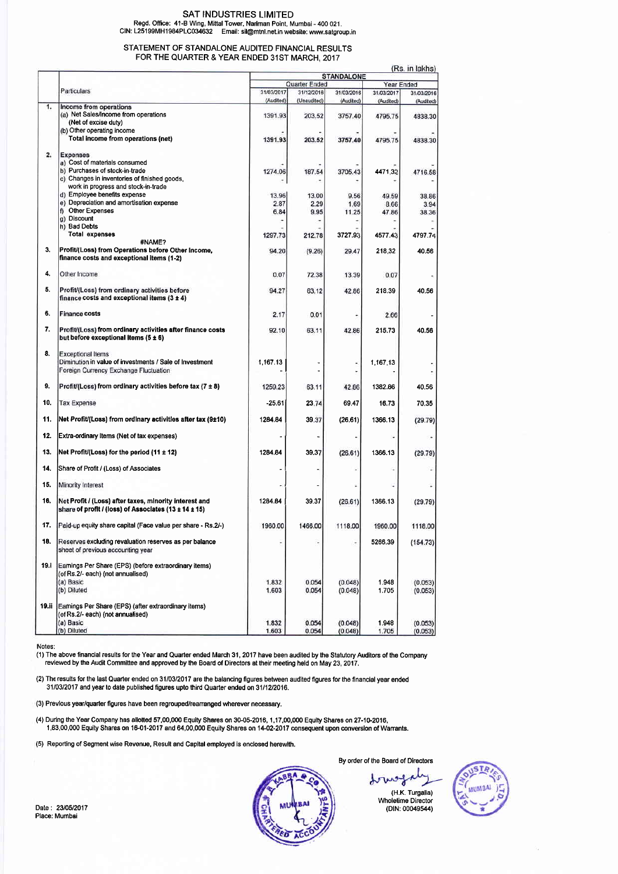# SAT INDUSTRIES LIMITED Regd. Ofice: 41-B Wing, Mittal Tower, Nariman Point, Mumbai - 400 02'1. CIN: L25199MH1984PLC034632 Email: sil@mtnl.net.in website: www.satgroup.in

#### STATEMENT OF STANDALONE AUDITED FINANCIAL RESULTS FOR THE QUARTER & YEAR ENDED 31ST MARCH, 2017

|       |                                                              | <b>STANDALONE</b> |             |            |            | (KS. III IdNIS) |  |
|-------|--------------------------------------------------------------|-------------------|-------------|------------|------------|-----------------|--|
|       |                                                              | Quarter Ended     |             |            | Year Ended |                 |  |
|       | Particulars                                                  | 31/03/2017        | 31/12/2016  | 31/03/2016 | 31/03/2017 | 31/03/2016      |  |
|       |                                                              | (Audited)         | (Unaudited) | (Audited)  | (Audited)  | (Audited)       |  |
| 1.    | Income from operations                                       |                   |             |            |            |                 |  |
|       | (a) Net Sales/Income from operations                         | 1391.93           | 203.52      | 3757.40    | 4795.75    | 4838.30         |  |
|       | (Net of excise duty)                                         |                   |             |            |            |                 |  |
|       | (b) Other operating income                                   |                   |             |            |            |                 |  |
|       | Total income from operations (net)                           |                   | 203.52      |            |            |                 |  |
|       |                                                              | 1391.93           |             | 3757.40    | 4795.75    | 4838.30         |  |
|       |                                                              |                   |             |            |            |                 |  |
| 2.    | <b>Expenses</b>                                              |                   |             |            |            |                 |  |
|       | a) Cost of materials consumed                                |                   |             |            |            |                 |  |
|       | b) Purchases of stock-in-trade                               | 1274.06           | 187.54      | 3705.43    | 4471.32    | 4716.58         |  |
|       | c) Changes in inventories of finished goods,                 |                   |             |            |            |                 |  |
|       | work in progress and stock-in-trade                          |                   |             |            |            |                 |  |
|       | d) Employee benefits expense                                 | 13.96             | 13.00       | 9.56       | 49.59      | 38.86           |  |
|       | e) Depreciation and amortisation expense                     | 2.87              | 2.29        |            |            |                 |  |
|       |                                                              |                   |             | 1.69       | 8.66       | 3.94            |  |
|       | f) Other Expenses                                            | 6.84              | 9.95        | 11.25      | 47.86      | 38.36           |  |
|       | g) Discount                                                  |                   | ž,          |            |            |                 |  |
|       | h) Bad Debts                                                 |                   |             |            |            |                 |  |
|       | <b>Total expenses</b>                                        | 1297.73           | 212.78      | 3727.93    | 4577.43    | 4797.74         |  |
|       | #NAME?                                                       |                   |             |            |            |                 |  |
| 3.    | Profit/(Loss) from Operations before Other Income,           | 94.20             | (9.26)      | 29.47      | 218,32     | 40.56           |  |
|       | finance costs and exceptional items (1-2)                    |                   |             |            |            |                 |  |
|       |                                                              |                   |             |            |            |                 |  |
| 4.    | Other Income                                                 | 0.07              | 72.38       | 13.39      | 0.07       |                 |  |
|       |                                                              |                   |             |            |            |                 |  |
| 5.    |                                                              |                   |             |            |            |                 |  |
|       | Profit/(Loss) from ordinary activities before                | 94.27             | 63.12       | 42.86      | 218.39     | 40.56           |  |
|       | finance costs and exceptional items $(3 \pm 4)$              |                   |             |            |            |                 |  |
|       |                                                              |                   |             |            |            |                 |  |
| 6.    | <b>Finance costs</b>                                         | 2.17              | 0.01        |            | 2.66       |                 |  |
|       |                                                              |                   |             |            |            |                 |  |
| 7.    | Profit/(Loss) from ordinary activities after finance costs   | 92.10             | 63.11       | 42.86      | 215.73     | 40.56           |  |
|       | but before exceptional items $(5 \pm 6)$                     |                   |             |            |            |                 |  |
|       |                                                              |                   |             |            |            |                 |  |
| 8.    | <b>Exceptional Items</b>                                     |                   |             |            |            |                 |  |
|       |                                                              |                   |             |            |            |                 |  |
|       | Diminution in value of investments / Sale of Investment      | 1.167.13          |             |            | 1,167.13   |                 |  |
|       | Foreign Currency Exchange Fluctuation                        |                   |             |            |            |                 |  |
|       |                                                              |                   |             |            |            |                 |  |
| 9.    | Profit/(Loss) from ordinary activities before tax (7 ± 8)    | 1259.23           | 63.11       | 42.86      | 1382.86    | 40.56           |  |
|       |                                                              |                   |             |            |            |                 |  |
| 10.   | <b>Tax Expense</b>                                           | $-25.61$          | 23.74       | 69.47      | 16.73      | 70.35           |  |
|       |                                                              |                   |             |            |            |                 |  |
| 11.   | Net Profit/(Loss) from ordinary activities after tax (9±10)  | 1284.84           | 39.37       | (26.61)    | 1366.13    | (29.79)         |  |
|       |                                                              |                   |             |            |            |                 |  |
|       |                                                              |                   |             |            |            |                 |  |
| 12.   | Extra-ordinary Iterns (Net of tax expenses)                  |                   |             |            |            |                 |  |
|       |                                                              |                   |             |            |            |                 |  |
| 13.   | Net Profit/(Loss) for the period (11 ± 12)                   | 1284.84           | 39.37       | (26.61)    | 1366.13    | (29.79)         |  |
|       |                                                              |                   |             |            |            |                 |  |
| 14.   | Share of Profit / (Loss) of Associates                       |                   |             |            |            |                 |  |
|       |                                                              |                   |             |            |            |                 |  |
| 15.   | Minority Interest                                            |                   |             |            |            |                 |  |
|       |                                                              |                   |             |            |            |                 |  |
|       |                                                              |                   |             |            |            |                 |  |
| 16.   | Net Profit / (Loss) after taxes, minority interest and       | 1284.84           | 39.37       | (26.61)    | 1366.13    | (29.79)         |  |
|       | share of profit / (loss) of Associates (13 ± 14 ± 15)        |                   |             |            |            |                 |  |
|       |                                                              |                   |             |            |            |                 |  |
| 17.   | Paid-up equity share capital (Face value per share - Rs.2/-) | 1960.00           | 1466.00     | 1118.00    | 1960.00    | 1118.00         |  |
|       |                                                              |                   |             |            |            |                 |  |
| 18.   | Reserves excluding revaluation reserves as per balance       |                   |             | ٠          | 5266.39    | (154.73)        |  |
|       | sheet of previous accounting year                            |                   |             |            |            |                 |  |
|       |                                                              |                   |             |            |            |                 |  |
|       |                                                              |                   |             |            |            |                 |  |
|       | 19.1 Earnings Per Share (EPS) (before extraordinary items)   |                   |             |            |            |                 |  |
|       | (of Rs.2/- each) (not annualised)                            |                   |             |            |            |                 |  |
|       | (a) Basic                                                    | 1.832             | 0.054       | (0.048)    | 1.948      | (0.053)         |  |
|       | (b) Diluted                                                  | 1.603             | 0.054       | (0.048)    | 1.705      | (0.053)         |  |
|       |                                                              |                   |             |            |            |                 |  |
| 19.ii | Earnings Per Share (EPS) (after extraordinary items)         |                   |             |            |            |                 |  |
|       | (of Rs.2/- each) (not annualised)                            |                   |             |            |            |                 |  |
|       |                                                              |                   |             |            |            |                 |  |
|       | (a) Basic                                                    | 1.832             | 0.054       | (0.048)    | 1.948      | (0.053)         |  |
|       | (b) Diluted                                                  | 1.603             | 0.054       | (0.048)    | 1.705      | (0.053)         |  |

Notes:

(1) The above financial results for the Year and Quarter ended March 31, 2017 have been audited by the Statutory Auditors of the Company<br>reviewed by the Audit Committee and approved by the Board of Directors at their meeti

(2) Thc results for the last Quarter ended on3110312017 arc the balancing figures between audited tigures for the financial year ended 3110312017 andyear to date published figures upto third Quarter ended on 31/1212016.

(3) Prevlous year/quarter figures have been regrouped/reananged wherever necessary.

(4) During the Year Company has allotted 57,00,000 Equity Shares on 30-05-2016, 1,17,00,000 Equity Shares on 27-10-2016, 1,83,00,000 Equity Shares on 1601-2017 and 64,00,000 Equity Shares on 1+02-2017 consequent upon converslon of Wanants.

(5) Reporting of Segment wiso Revenue, Result and Capital employed is onclosed herewith.



By order of the Board of Directors

tows (H.K. Turgalia) Wholetime Director (DlN:00049544)

 $(D_0, in label$ 

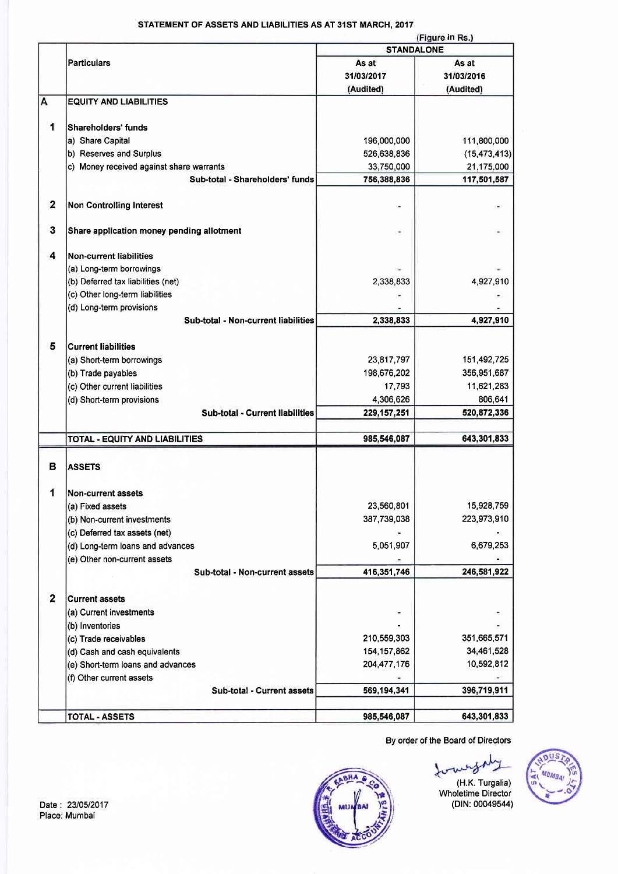## STATEMENT OF ASSETS AND LIABILITIES AS AT 31ST MARCH. 2017

|                  | (Figure in Rs.)                           |                   |                |  |  |
|------------------|-------------------------------------------|-------------------|----------------|--|--|
|                  |                                           | <b>STANDALONE</b> |                |  |  |
|                  | <b>Particulars</b>                        | As at             | As at          |  |  |
|                  |                                           | 31/03/2017        | 31/03/2016     |  |  |
|                  |                                           | (Audited)         | (Audited)      |  |  |
| A                | <b>EQUITY AND LIABILITIES</b>             |                   |                |  |  |
|                  |                                           |                   |                |  |  |
|                  |                                           |                   |                |  |  |
| 1                | Shareholders' funds                       |                   |                |  |  |
|                  | a) Share Capital                          | 196,000,000       | 111,800,000    |  |  |
|                  | b) Reserves and Surplus                   | 526,638,836       | (15, 473, 413) |  |  |
|                  | c) Money received against share warrants  | 33,750,000        | 21,175,000     |  |  |
|                  | Sub-total - Shareholders' funds           | 756,388,836       | 117,501,587    |  |  |
|                  |                                           |                   |                |  |  |
| $\mathbf{2}$     | <b>Non Controlling Interest</b>           |                   |                |  |  |
|                  |                                           |                   |                |  |  |
| $\mathbf{3}$     | Share application money pending allotment |                   |                |  |  |
|                  |                                           |                   |                |  |  |
|                  |                                           |                   |                |  |  |
| 4                | <b>Non-current liabilities</b>            |                   |                |  |  |
|                  | (a) Long-term borrowings                  |                   |                |  |  |
|                  | (b) Deferred tax liabilities (net)        | 2,338,833         | 4,927,910      |  |  |
|                  | (c) Other long-term liabilities           |                   |                |  |  |
|                  | (d) Long-term provisions                  |                   |                |  |  |
|                  | Sub-total - Non-current liabilities       | 2,338,833         | 4,927,910      |  |  |
|                  |                                           |                   |                |  |  |
| 5                | <b>Current liabilities</b>                |                   |                |  |  |
|                  | (a) Short-term borrowings                 | 23,817,797        | 151,492,725    |  |  |
|                  |                                           |                   |                |  |  |
|                  | (b) Trade payables                        | 198,676,202       | 356,951,687    |  |  |
|                  | (c) Other current liabilities             | 17,793            | 11,621,283     |  |  |
|                  | (d) Short-term provisions                 | 4,306,626         | 806,641        |  |  |
|                  | <b>Sub-total - Current liabilities</b>    | 229, 157, 251     | 520,872,336    |  |  |
|                  |                                           |                   |                |  |  |
|                  | TOTAL - EQUITY AND LIABILITIES            | 985,546,087       | 643,301,833    |  |  |
|                  |                                           |                   |                |  |  |
| в                | <b>ASSETS</b>                             |                   |                |  |  |
|                  |                                           |                   |                |  |  |
| 1                | Non-current assets                        |                   |                |  |  |
|                  |                                           |                   |                |  |  |
|                  | (a) Fixed assets                          | 23,560,801        | 15,928,759     |  |  |
|                  | (b) Non-current investments               | 387,739,038       | 223,973,910    |  |  |
|                  | (c) Deferred tax assets (net)             |                   |                |  |  |
|                  | (d) Long-term loans and advances          | 5,051,907         | 6,679,253      |  |  |
|                  | (e) Other non-current assets              |                   |                |  |  |
|                  | Sub-total - Non-current assets            | 416,351,746       | 246,581,922    |  |  |
|                  |                                           |                   |                |  |  |
| $\boldsymbol{2}$ | <b>Current assets</b>                     |                   |                |  |  |
|                  |                                           |                   |                |  |  |
|                  | (a) Current investments                   |                   |                |  |  |
|                  | (b) Inventories                           |                   |                |  |  |
|                  | (c) Trade receivables                     | 210,559,303       | 351,665,571    |  |  |
|                  | (d) Cash and cash equivalents             | 154, 157, 862     | 34,461,528     |  |  |
|                  | (e) Short-term loans and advances         | 204,477,176       | 10,592,812     |  |  |
|                  | (f) Other current assets                  |                   |                |  |  |
|                  | Sub-total - Current assets                | 569,194,341       | 396,719,911    |  |  |
|                  |                                           |                   |                |  |  |
|                  | TOTAL - ASSETS                            | 985,546,087       | 643,301,833    |  |  |
|                  |                                           |                   |                |  |  |

By order of the Board of Directors

(H.K. Turgalia)

Wholetime Director



Date: 23/05/2017<br>Place: Mumbai

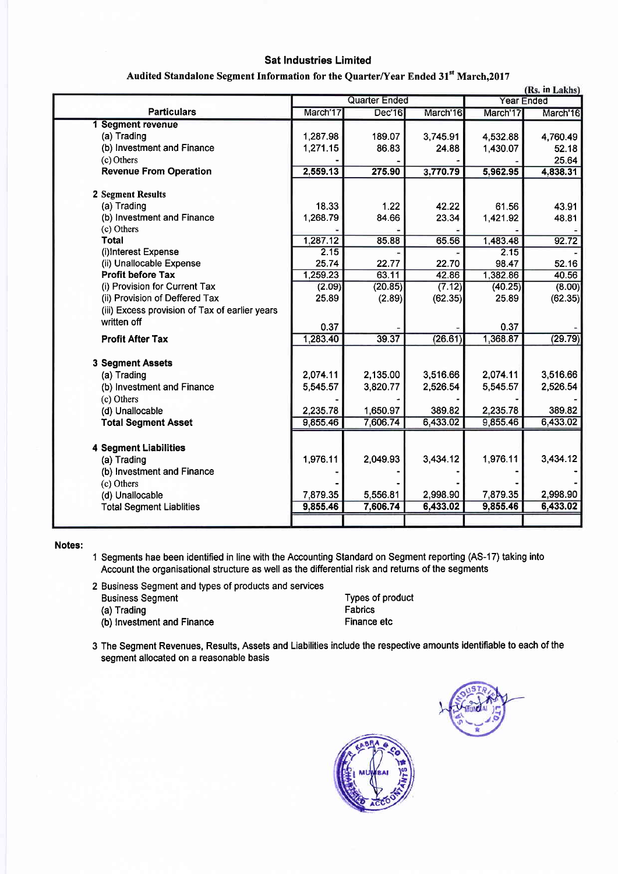# **Sat Industries Limited**

| Audited Standalone Segment Information for the Quarter/Year Ended 31st March, 2017 |  |
|------------------------------------------------------------------------------------|--|
|                                                                                    |  |

|                                                | (Rs. in Lakhs)       |          |          |          |                   |
|------------------------------------------------|----------------------|----------|----------|----------|-------------------|
|                                                | <b>Quarter Ended</b> |          |          |          | <b>Year Ended</b> |
| <b>Particulars</b>                             | March'17             | Dec'16   | March'16 | March'17 | March'16          |
| 1 Segment revenue                              |                      |          |          |          |                   |
| (a) Trading                                    | 1,287.98             | 189.07   | 3,745.91 | 4,532.88 | 4,760.49          |
| (b) Investment and Finance                     | 1,271.15             | 86.83    | 24.88    | 1,430.07 | 52.18             |
| (c) Others                                     |                      |          |          |          | 25.64             |
| <b>Revenue From Operation</b>                  | 2,559.13             | 275.90   | 3,770.79 | 5,962.95 | 4,838.31          |
| 2 Segment Results                              |                      |          |          |          |                   |
| (a) Trading                                    | 18.33                | 1.22     | 42.22    | 61.56    | 43.91             |
| (b) Investment and Finance                     | 1,268.79             | 84.66    | 23.34    | 1,421.92 | 48.81             |
| (c) Others                                     |                      |          |          |          |                   |
| <b>Total</b>                                   | 1,287.12             | 85.88    | 65.56    | 1,483.48 | 92.72             |
| (i)Interest Expense                            | 2.15                 |          |          | 2.15     |                   |
| (ii) Unallocable Expense                       | 25.74                | 22.77    | 22.70    | 98.47    | 52.16             |
| <b>Profit before Tax</b>                       | 1,259.23             | 63.11    | 42.86    | 1,382.86 | 40.56             |
| (i) Provision for Current Tax                  | (2.09)               | (20.85)  | (7.12)   | (40.25)  | (8.00)            |
| (ii) Provision of Deffered Tax                 | 25.89                | (2.89)   | (62.35)  | 25.89    | (62.35)           |
| (iii) Excess provision of Tax of earlier years |                      |          |          |          |                   |
| written off                                    | 0.37                 |          |          | 0.37     |                   |
| <b>Profit After Tax</b>                        | 1,283.40             | 39.37    | (26.61)  | 1,368.87 | (29.79)           |
|                                                |                      |          |          |          |                   |
| 3 Segment Assets                               |                      |          |          |          |                   |
|                                                | 2,074.11             | 2,135.00 | 3,516.66 | 2,074.11 | 3,516.66          |
| (a) Trading                                    |                      |          |          |          | 2,526.54          |
| (b) Investment and Finance                     | 5,545.57             | 3,820.77 | 2,526.54 | 5,545.57 |                   |
| (c) Others<br>(d) Unallocable                  | 2,235.78             | 1,650.97 | 389.82   | 2,235.78 | 389.82            |
| <b>Total Segment Asset</b>                     | 9,855.46             | 7,606.74 | 6,433.02 | 9,855.46 | 6,433.02          |
|                                                |                      |          |          |          |                   |
| <b>4 Segment Liabilities</b>                   |                      |          |          |          |                   |
| (a) Trading                                    | 1,976.11             | 2,049.93 | 3,434.12 | 1,976.11 | 3,434.12          |
| (b) Investment and Finance                     |                      |          |          |          |                   |
| (c) Others                                     |                      |          |          |          |                   |
| (d) Unallocable                                | 7,879.35             | 5,556.81 | 2,998.90 | 7,879.35 | 2,998.90          |
| <b>Total Segment Liablities</b>                | 9,855.46             | 7,606.74 | 6,433.02 | 9,855.46 | 6,433.02          |
|                                                |                      |          |          |          |                   |
|                                                |                      |          |          |          |                   |

Notes:

1 Segments hae been identified in line with the Accounting Standard on Segment reporting (AS-17) taking into Account the organisational structure as well as the differential risk and returns of the segments

| 2 Business Segment and types of products and services |                  |
|-------------------------------------------------------|------------------|
| <b>Business Segment</b>                               | Types of product |
| (a) Trading                                           | Fabrics          |
| (b) Investment and Finance                            | Finance etc      |

3 The Segment Revenues, Results, Assets and Liabilities include the respective amounts identifiable to each of the segment allocated on a reasonable basis

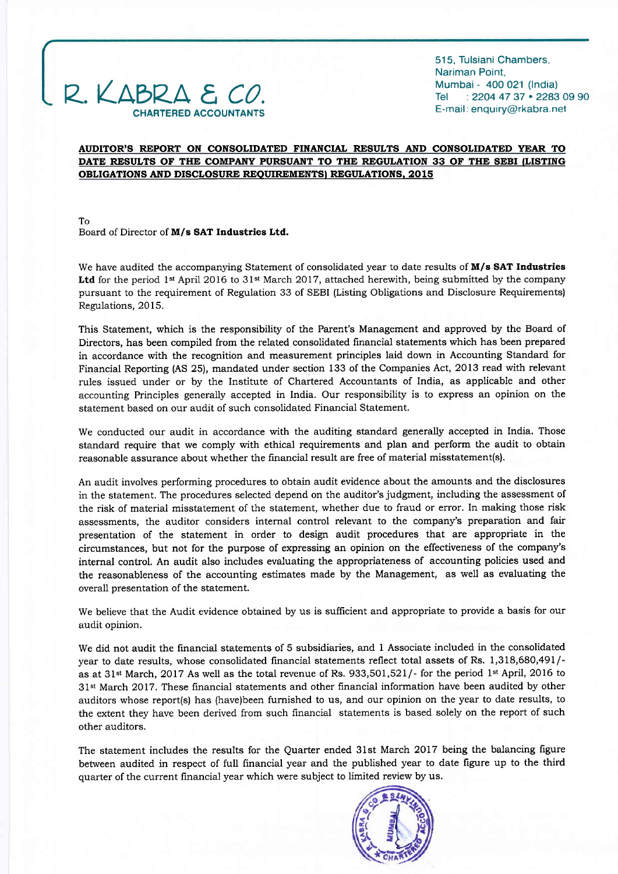# $2 \times \triangle BPA E$ CHARTERED ACCOUNTANTS

515, Tulsiani Chambers, Nariman Point, Mumbai - 400 021 (lndia) Tel : 2204 47 37 . 2283 09 90 E-mail : enquiry@rkabra net

### AUDITOR'S REPORT ON CONSOLIDATED FINANCIAL RESULTS AND CONSOLIDATED YEAR TO DATE RESULTS OF THE COMPANY PURSUANT TO THE REGULATION 33 OF THE SEBI (LISTING OBLIGATIONS AND DISCLOSURE REQUIREMENTS) REGULATIONS, 2015

To Board of Director of M/s SAT Industries Ltd.

We have audited the accompanying Statement of consolidated year to date results of M/s SAT Industries **Ltd** for the period 1<sup>st</sup> April 2016 to 31<sup>st</sup> March 2017, attached herewith, being submitted by the company pursuant to the requirement of Regulation 33 of SEBI (Listing Obligations and Disclosure Requirements) Regulations, 2015.

This Statement, which is the responsibility of the Parent's Management and approved by the Board of Directors, has been compiled from the related consolidated financial statements which has been prepared in accordance with the recognition and measurement principles laid down in Accounting Standard for Financial Reporting (AS 25), mandated under section 133 of the Companies Act, 2013 read with relevant rules issued under or by the Institute of Chartered Accountants of India, as applicable and other accounting Principles generally accepted in India. Our responsibility is to express an opinion on the statement based on our audit of such consolidated Financial Statement.

We conducted our audit in accordance with the auditing standard generally accepted in India. Those standard require that we comply with ethical requirements and plan and perform the audit to obtain reasonable assurance about whether the financial result are free of material misstatement(s).

An audit involves performing procedures to obtain audit evidence about the amounts and the disclosures in the statement. The procedures selected depend on the auditor's judgment, including the assessment of the risk of material misstatement of the statement, whether due to fraud or error. In making those risk assessments, the auditor considers internal control relevant to the company's preparation and fair presentation of the statement in order to design audit procedures that are appropriate in the circumstances, but not for the purpose of expressing an opinion on the effectiveness of the company's internal control. An audit also includes evaluating the appropriateness of accounting policies used and the reasonableness of the accounting estimates made by the Management, as well as evaluating the overall presentation of the statement.

We believe that the Audit evidence obtained by us is sufficient and appropriate to provide a basis for our audit opinion.

We did not audit the financial statements of 5 subsidiaries, and 1 Associate included in the consolidated year to date results, whose consolidated financial statements reflect total assets of Rs. 1,318,680,491/as at 31<sup>st</sup> March, 2017 As well as the total revenue of Rs. 933,501,521/- for the period 1<sup>st</sup> April, 2016 to 3l"t March 2017. These financial statements and other financial information have been audited by other auditors whose report(s) has (have)been furnished to us, and our opinion on the year to date results, to the extent they have been derived from such financial statements is based solely on the report of such other auditors.

The statement includes the results for the Quarter ended 31st March 2OI7 being the balancing figure between audited in respect of full financial year and the published year to date figure up to the third quarter of the current financial year which were subject to limited review by us.

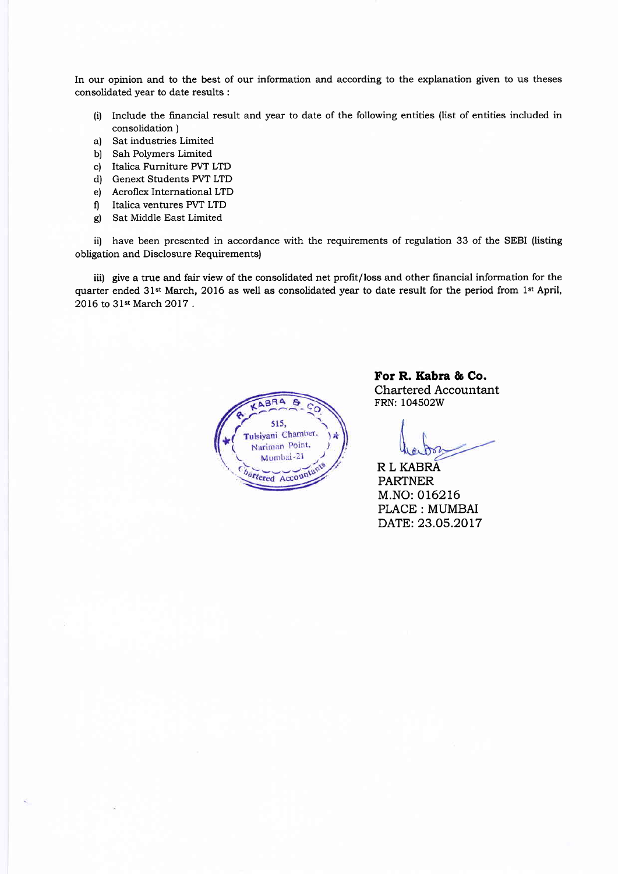In our opinion and to the best of our information and according to the explanation given to us theses consolidated year to date results :

- (i) Include the financial result and year to date of the following entities (list of entities included in consolidation )
- a) Sat industries Limited
- b) Sah Polymers Limited
- c) Italica Furniture PVT LTD
- d) Genext Students PVT LTD
- e) Aeroflex International LTD
- f) Italica ventures PVT LTD
- g) Sat Middle East Limited

ii) have been presented in accordance with the requirements of regulation 33 of the SEBI (listing obligation and Disclosure Requirements)

iii) give a true and fair view of the consolidated net profit/loss and other financial information for the quarter ended 31st March, 2016 as well as consolidated year to date result for the period from lst April, 2016 to 31st March 2OI7 .



For R. Kabra & Co. Chartered Accountant FRN: 1O45O2W

R L KABRA PARTNER M.NO: OI62L6 PLACE: MUMBAI DATE: 23.O5.2OL7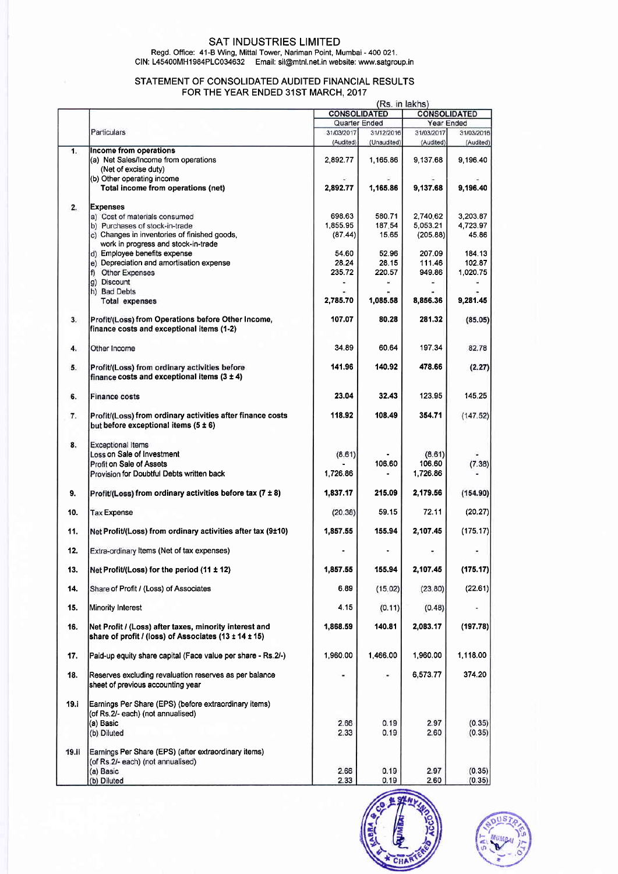## SAT INDUSTRIES LIMITED

Regd. Office: 41-B Wing, Mittal Tower, Nariman Point, Mumbai - 4OO 021. CIN: L45400MH1984PLC034632 Email: sil@mtnl.net.in website: www.satgroup.in

### STATEMENT OF CONSOLIDATED AUDITED FINANCIAL RESULTS FOR THE YEAR ENDED 31ST MARCH. 2017

|       |                                                              |            |                     | (Rs. in lakhs) |                     |  |
|-------|--------------------------------------------------------------|------------|---------------------|----------------|---------------------|--|
|       |                                                              |            | <b>CONSOLIDATED</b> |                | <b>CONSOLIDATED</b> |  |
|       |                                                              |            | Quarter Ended       |                | Year Ended          |  |
|       | Particulars                                                  | 31/03/2017 | 31/12/2016          | 31/03/2017     | 31/03/2016          |  |
|       |                                                              | (Audited)  | (Unaudited)         | (Audited)      | (Audited)           |  |
| 1.    | Income from operations                                       |            |                     |                |                     |  |
|       | (a) Net Sales/Income from operations                         | 2.892.77   | 1,165.86            | 9,137.68       | 9 196 40            |  |
|       | (Net of excise duty)                                         |            |                     |                |                     |  |
|       | (b) Other operating income                                   |            |                     |                |                     |  |
|       | Total income from operations (net)                           | 2,892.77   | 1,165.86            | 9,137.68       | 9,196.40            |  |
|       |                                                              |            |                     |                |                     |  |
| 2.    | <b>Expenses</b>                                              |            |                     |                |                     |  |
|       | a) Cost of materials consumed                                | 698.63     | 580.71              | 2,740.62       | 3.203.87            |  |
|       | b) Purchases of stock-in-trade                               | 1,855.95   | 187.54              | 5,053.21       | 4,723.97            |  |
|       | c) Changes in inventories of finished goods,                 | (87.44)    | 15.65               | (205.88)       | 45.86               |  |
|       | work in progress and stock-in-trade                          |            |                     |                |                     |  |
|       | d) Employee benefits expense                                 | 54.60      | 52.96               | 207.09         | 184.13              |  |
|       | e) Depreciation and amortisation expense                     | 28.24      | 28.15               | 111.46         | 102.87              |  |
|       | f) Other Expenses                                            | 235.72     | 220.57              | 949.86         | 1,020.75            |  |
|       | g) Discount                                                  |            |                     |                |                     |  |
|       | h) Bad Debts                                                 |            |                     |                |                     |  |
|       | <b>Total expenses</b>                                        | 2,785.70   | 1,085.58            | 8,856.36       | 9,281.45            |  |
|       |                                                              |            |                     |                |                     |  |
| 3.    | Profit/(Loss) from Operations before Other Income,           | 107.07     | 80.28               | 281.32         | (85.05)             |  |
|       | finance costs and exceptional items (1-2)                    |            |                     |                |                     |  |
|       |                                                              |            |                     |                |                     |  |
| 4.    | Other Income                                                 | 34.89      | 60.64               | 197.34         | 82.78               |  |
|       |                                                              |            |                     |                |                     |  |
| 5.    | Profit/(Loss) from ordinary activities before                | 141.96     | 140.92              | 478.66         | (2.27)              |  |
|       | finance costs and exceptional items $(3 \pm 4)$              |            |                     |                |                     |  |
|       |                                                              |            |                     |                |                     |  |
| 6.    | <b>Finance costs</b>                                         | 23.04      | 32.43               | 123.95         | 145.25              |  |
|       |                                                              |            |                     |                |                     |  |
| 7.    | Profit/(Loss) from ordinary activities after finance costs   | 118.92     | 108.49              | 354.71         | (147.52)            |  |
|       | but before exceptional items $(5 \pm 6)$                     |            |                     |                |                     |  |
|       |                                                              |            |                     |                |                     |  |
| 8.    | <b>Exceptional Items</b>                                     |            |                     |                |                     |  |
|       | Loss on Sale of Investment                                   | (8.61)     |                     | (8.61)         |                     |  |
|       | Profit on Sale of Assets                                     |            | 106.60              | 106.60         | (7.38)              |  |
|       | Provision for Doubtful Debts written back                    | 1,726.86   |                     | 1,726.86       |                     |  |
|       |                                                              |            |                     |                |                     |  |
| 9.    | Profit/(Loss) from ordinary activities before tax (7 ± 8)    | 1,837.17   | 215.09              | 2,179.56       | (154.90)            |  |
|       |                                                              |            |                     |                |                     |  |
| 10.   | <b>Tax Expense</b>                                           | (20.38)    | 59.15               | 72.11          | (20.27)             |  |
|       |                                                              |            |                     |                |                     |  |
| 11.   | Net Profit/(Loss) from ordinary activities after tax (9±10)  | 1.857.55   | 155.94              | 2,107.45       | (175.17)            |  |
|       |                                                              |            |                     |                |                     |  |
| 12.   | Extra-ordinary Items (Net of tax expenses)                   |            |                     |                |                     |  |
|       |                                                              |            |                     |                |                     |  |
| 13.   | Net Profit/(Loss) for the period $(11 \pm 12)$               | 1,857.55   | 155.94              | 2,107.45       | (175.17)            |  |
|       |                                                              |            |                     |                |                     |  |
| 14.   | Share of Profit / (Loss) of Associates                       | 6.89       | (15.02)             | (23.80)        | (22.61)             |  |
|       |                                                              |            |                     |                |                     |  |
| 15.   |                                                              | 4.15       | (0.11)              | (0.48)         |                     |  |
|       | Minority Interest                                            |            |                     |                |                     |  |
|       |                                                              |            | 140.81              |                |                     |  |
| 16.   | Net Profit / (Loss) after taxes, minority interest and       | 1,868.59   |                     | 2,083.17       | (197.78)            |  |
|       | share of profit / (loss) of Associates (13 ± 14 ± 15)        |            |                     |                |                     |  |
|       |                                                              |            |                     |                |                     |  |
| 17.   | Paid-up equity share capital (Face value per share - Rs.2/-) | 1,960.00   | 1,466.00            | 1,960.00       | 1,118.00            |  |
|       |                                                              |            |                     |                |                     |  |
| 18.   | Reserves excluding revaluation reserves as per balance       |            | $\blacksquare$      | 6,573.77       | 374.20              |  |
|       | sheet of previous accounting year                            |            |                     |                |                     |  |
|       |                                                              |            |                     |                |                     |  |
| 19.i  | Earnings Per Share (EPS) (before extraordinary items)        |            |                     |                |                     |  |
|       | (of Rs.2/- each) (not annualised)                            |            |                     |                |                     |  |
|       | (a) Basic                                                    | 2.66       | 0.19                | 2.97           | (0.35)              |  |
|       | (b) Diluted                                                  | 2.33       | 0.19                | 2.60           | (0.35)              |  |
|       |                                                              |            |                     |                |                     |  |
| 19.ii | Earnings Per Share (EPS) (after extraordinary items)         |            |                     |                |                     |  |
|       | (of Rs.2/- each) (not annualised)                            |            |                     |                |                     |  |
|       | (a) Basic                                                    | 2.66       | 0.19                | 2.97           | (0.35)              |  |
|       | (b) Diluted                                                  | 2.33       | 0.19                | 2.60           | (0.35)              |  |



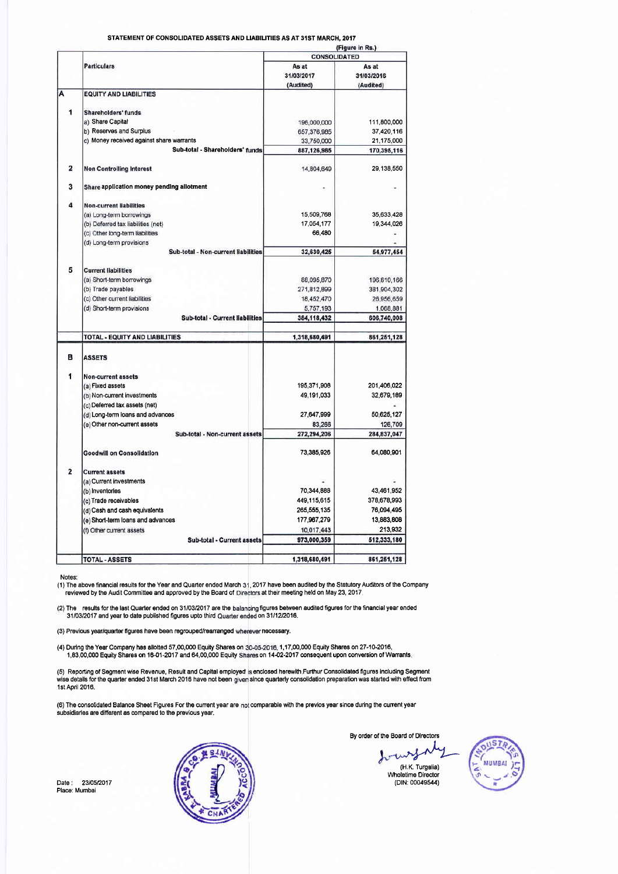STATEMENT OF CONSOLIDATED ASSETS AND LIABILITIES AS AT 31ST MARCH, 2017

|                         |                                                                 | (Figure in Rs.)     |                     |  |  |
|-------------------------|-----------------------------------------------------------------|---------------------|---------------------|--|--|
|                         |                                                                 | <b>CONSOLIDATED</b> |                     |  |  |
|                         | <b>Particulars</b>                                              | As at<br>31/03/2017 | As at<br>31/03/2016 |  |  |
|                         |                                                                 | (Audited)           | (Audited)           |  |  |
| Α                       | <b>EQUITY AND LIABILITIES</b>                                   |                     |                     |  |  |
| 1                       | <b>Shareholders' funds</b>                                      |                     |                     |  |  |
|                         | a) Share Capital                                                | 196,000,000         | 111,800,000         |  |  |
|                         | b) Reserves and Surplus                                         | 657,376,985         | 37,420,116          |  |  |
|                         | c) Money received against share warrants                        | 33,750,000          | 21,175,000          |  |  |
|                         | Sub-total - Shareholders' funds                                 | 887,126,985         | 170,395,116         |  |  |
| $\overline{\mathbf{2}}$ | <b>Non Controlling Interest</b>                                 | 14.804.649          | 29.138.550          |  |  |
| 3                       | Share application money pending allotment                       |                     |                     |  |  |
| 4                       | <b>Non-current liabilities</b>                                  |                     |                     |  |  |
|                         | (a) Long-term borrowings                                        | 15,509,768          | 35,633,428          |  |  |
|                         | (b) Deferred tax liabilities (net)                              | 17,054,177          | 19,344 026          |  |  |
|                         | (c) Other long-term liabilities                                 | 66,480              |                     |  |  |
|                         | (d) Long-term provisions<br>Sub-total - Non-current liabilities | 32,630,425          | 54,977,454          |  |  |
|                         |                                                                 |                     |                     |  |  |
| 5                       | <b>Current liabilities</b>                                      |                     |                     |  |  |
|                         | (a) Short-term borrowings                                       | 88,095,870          | 196,810,166         |  |  |
|                         | (b) Trade payables                                              | 271,812,899         | 381,904,302         |  |  |
|                         | (c) Other current liabilities                                   | 18,452,470          | 26,956,659          |  |  |
|                         | (d) Short-term provisions                                       | 5,757,193           | 1,068,881           |  |  |
|                         | Sub-total - Current liabilities                                 | 384,118,432         | 606,740,008         |  |  |
|                         | TOTAL - EQUITY AND LIABILITIES                                  | 1,318,680,491       | 861,251,128         |  |  |
| в                       | <b>ASSETS</b>                                                   |                     |                     |  |  |
| 1                       | Non-current assets                                              |                     |                     |  |  |
|                         | (a) Fixed assets                                                | 195.371.908         | 201,406,022         |  |  |
|                         | (b) Non-current investments                                     | 49.191.033          | 32,679,189          |  |  |
|                         | (c) Deferred tax assets (net)                                   |                     |                     |  |  |
|                         | (d) Long-term loans and advances                                | 27,647,999          | 50,625,127          |  |  |
|                         | (e) Other non-current assets                                    | 83,266              | 126,709             |  |  |
|                         | Sub-total - Non-current assets                                  | 272,294,206         | 284,837,047         |  |  |
|                         | <b>Goodwill on Consolidation</b>                                | 73,385,926          | 64,080,901          |  |  |
| 2                       | <b>Current assets</b>                                           |                     |                     |  |  |
|                         | (a) Current investments                                         |                     |                     |  |  |
|                         | (b) Inventories                                                 | 70,344,888          | 43.461.952          |  |  |
|                         | (c) Trade receivables                                           | 449,115,615         | 378,678,993         |  |  |
|                         | (d) Cash and cash equivalents                                   | 265,555,135         | 76,094,495          |  |  |
|                         | (e) Short-term loans and advances                               | 177,967,279         | 13 883 808          |  |  |
|                         | (f) Other current assets                                        | 10,017,443          | 213,932             |  |  |
|                         | Sub-total - Current assets                                      | 973,000,359         | 512,333,180         |  |  |
|                         | <b>TOTAL - ASSETS</b>                                           | 1.318.680.491       | 861.251.128         |  |  |
|                         |                                                                 |                     |                     |  |  |

Notes:

The above financial results for the Year and Quarter ended March 31, 2017 have been audited by the Statutory Auditors of the Company<br>reviewed by the Audit Committee and approved by the Board of Directors at their meeting h

(2) The results for the last Quarter ended on 31/03/2017 are the balancing figures between audited figures for the financial year ended<br>31/03/2017 and year to date published figures upto third Quarter ended on 31/12/2016.

(3) Previous year/quarter figures have been regrouped/rearranged wherever necessary.

A) During the Year Company has allotted 57,00,000 Equity Shares on 30-05-2016, 1,17,00,000 Equity Shares on 27-10-2016,<br>1,83,00,000 Equity Shares on 16-01-2017 and 64,00,000 Equity Shares on 14-02-2017 consequent upon conv

(5) Reporting of Segment wise Revenue, Result and Capital employed is enclosed herewith.Furthur Consolidated figures including Segment<br>wise details for the quarter ended 31st March 2016 have not been given since quarterly

(6) The consolidated Balance Sheet Figures For the current year are not comparable with the previos year since during the current year subsidiaries are different as compared to the previous year.

Date : 23/05/2017<br>Place: Mumbai



By order of the Board of Directors

wrf (H.K. Turgalia) Wholetime Director<br>(DIN: 00049544)